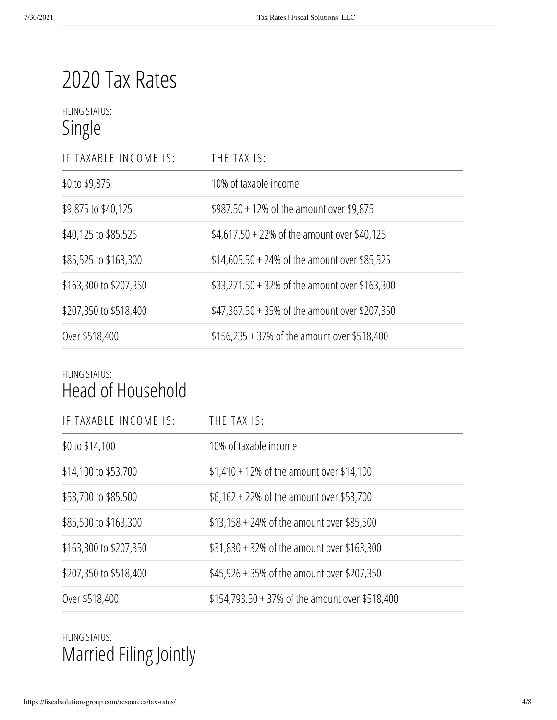# 2020 Tax Rates

### FILING STATUS: Single

| IF TAXABLE INCOME IS:  | THE TAX IS:                                     |
|------------------------|-------------------------------------------------|
| \$0 to \$9,875         | 10% of taxable income                           |
| \$9,875 to \$40,125    | $$987.50 + 12\%$ of the amount over \$9,875     |
| \$40,125 to \$85,525   | $$4,617.50 + 22\%$ of the amount over \$40,125  |
| \$85,525 to \$163,300  | $$14,605.50 + 24\%$ of the amount over \$85,525 |
| \$163,300 to \$207,350 | \$33,271.50 + 32% of the amount over \$163,300  |
| \$207,350 to \$518,400 | \$47,367.50 + 35% of the amount over \$207,350  |
| Over \$518,400         | $$156,235 + 37\%$ of the amount over \$518,400  |

#### FILING STATUS: Head of Household

| IF TAXABLE INCOME IS:  | THE TAX IS:                                     |
|------------------------|-------------------------------------------------|
| \$0 to \$14,100        | 10% of taxable income                           |
| \$14,100 to \$53,700   | $$1,410 + 12\%$ of the amount over \$14,100     |
| \$53,700 to \$85,500   | \$6,162 + 22% of the amount over \$53,700       |
| \$85,500 to \$163,300  | $$13,158 + 24\%$ of the amount over \$85,500    |
| \$163,300 to \$207,350 | \$31,830 + 32% of the amount over \$163,300     |
| \$207,350 to \$518,400 | \$45,926 + 35% of the amount over \$207,350     |
| Over \$518,400         | \$154,793.50 + 37% of the amount over \$518,400 |

## FILING STATUS: Married Filing Jointly